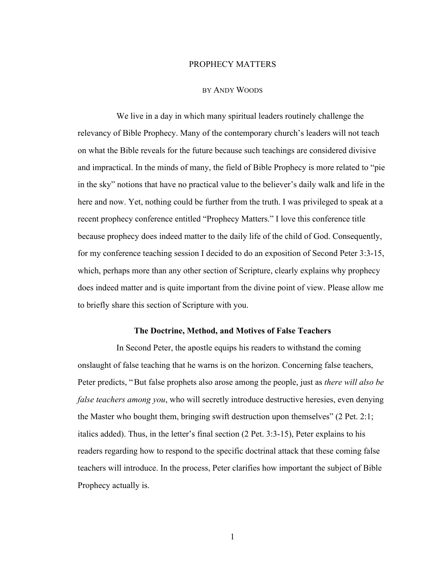### PROPHECY MATTERS

### BY ANDY WOODS

We live in a day in which many spiritual leaders routinely challenge the relevancy of Bible Prophecy. Many of the contemporary church's leaders will not teach on what the Bible reveals for the future because such teachings are considered divisive and impractical. In the minds of many, the field of Bible Prophecy is more related to "pie in the sky" notions that have no practical value to the believer's daily walk and life in the here and now. Yet, nothing could be further from the truth. I was privileged to speak at a recent prophecy conference entitled "Prophecy Matters." I love this conference title because prophecy does indeed matter to the daily life of the child of God. Consequently, for my conference teaching session I decided to do an exposition of Second Peter 3:3-15, which, perhaps more than any other section of Scripture, clearly explains why prophecy does indeed matter and is quite important from the divine point of view. Please allow me to briefly share this section of Scripture with you.

#### **The Doctrine, Method, and Motives of False Teachers**

In Second Peter, the apostle equips his readers to withstand the coming onslaught of false teaching that he warns is on the horizon. Concerning false teachers, Peter predicts, "But false prophets also arose among the people, just as *there will also be false teachers among you*, who will secretly introduce destructive heresies, even denying the Master who bought them, bringing swift destruction upon themselves" (2 Pet. 2:1; italics added). Thus, in the letter's final section (2 Pet. 3:3-15), Peter explains to his readers regarding how to respond to the specific doctrinal attack that these coming false teachers will introduce. In the process, Peter clarifies how important the subject of Bible Prophecy actually is.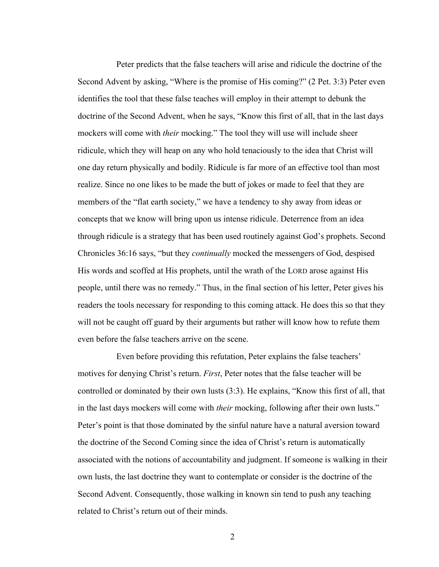Peter predicts that the false teachers will arise and ridicule the doctrine of the Second Advent by asking, "Where is the promise of His coming?" (2 Pet. 3:3) Peter even identifies the tool that these false teaches will employ in their attempt to debunk the doctrine of the Second Advent, when he says, "Know this first of all, that in the last days mockers will come with *their* mocking." The tool they will use will include sheer ridicule, which they will heap on any who hold tenaciously to the idea that Christ will one day return physically and bodily. Ridicule is far more of an effective tool than most realize. Since no one likes to be made the butt of jokes or made to feel that they are members of the "flat earth society," we have a tendency to shy away from ideas or concepts that we know will bring upon us intense ridicule. Deterrence from an idea through ridicule is a strategy that has been used routinely against God's prophets. Second Chronicles 36:16 says, "but they *continually* mocked the messengers of God, despised His words and scoffed at His prophets, until the wrath of the LORD arose against His people, until there was no remedy." Thus, in the final section of his letter, Peter gives his readers the tools necessary for responding to this coming attack. He does this so that they will not be caught off guard by their arguments but rather will know how to refute them even before the false teachers arrive on the scene.

Even before providing this refutation, Peter explains the false teachers' motives for denying Christ's return. *First*, Peter notes that the false teacher will be controlled or dominated by their own lusts (3:3). He explains, "Know this first of all, that in the last days mockers will come with *their* mocking, following after their own lusts." Peter's point is that those dominated by the sinful nature have a natural aversion toward the doctrine of the Second Coming since the idea of Christ's return is automatically associated with the notions of accountability and judgment. If someone is walking in their own lusts, the last doctrine they want to contemplate or consider is the doctrine of the Second Advent. Consequently, those walking in known sin tend to push any teaching related to Christ's return out of their minds.

2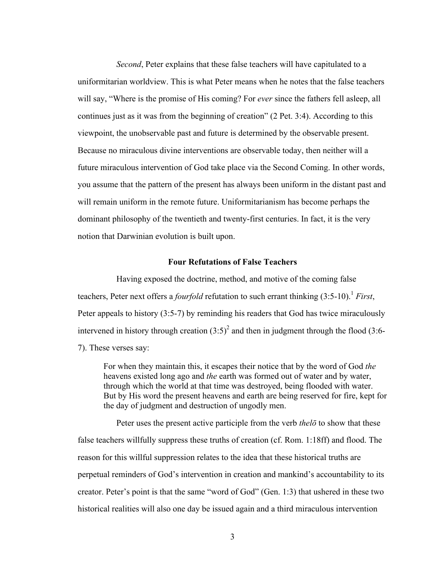*Second*, Peter explains that these false teachers will have capitulated to a uniformitarian worldview. This is what Peter means when he notes that the false teachers will say, "Where is the promise of His coming? For *ever* since the fathers fell asleep, all continues just as it was from the beginning of creation" (2 Pet. 3:4). According to this viewpoint, the unobservable past and future is determined by the observable present. Because no miraculous divine interventions are observable today, then neither will a future miraculous intervention of God take place via the Second Coming. In other words, you assume that the pattern of the present has always been uniform in the distant past and will remain uniform in the remote future. Uniformitarianism has become perhaps the dominant philosophy of the twentieth and twenty-first centuries. In fact, it is the very notion that Darwinian evolution is built upon.

# **Four Refutations of False Teachers**

Having exposed the doctrine, method, and motive of the coming false teachers, Peter next offers a *fourfold* refutation to such errant thinking  $(3.5\n-10)$ <sup>1</sup> *First*, Peter appeals to history (3:5-7) by reminding his readers that God has twice miraculously intervened in history through creation  $(3.5)^2$  and then in judgment through the flood  $(3.6-$ 7). These verses say:

For when they maintain this, it escapes their notice that by the word of God *the* heavens existed long ago and *the* earth was formed out of water and by water, through which the world at that time was destroyed, being flooded with water. But by His word the present heavens and earth are being reserved for fire, kept for the day of judgment and destruction of ungodly men.

Peter uses the present active participle from the verb *thelō* to show that these false teachers willfully suppress these truths of creation (cf. Rom. 1:18ff) and flood. The reason for this willful suppression relates to the idea that these historical truths are perpetual reminders of God's intervention in creation and mankind's accountability to its creator. Peter's point is that the same "word of God" (Gen. 1:3) that ushered in these two historical realities will also one day be issued again and a third miraculous intervention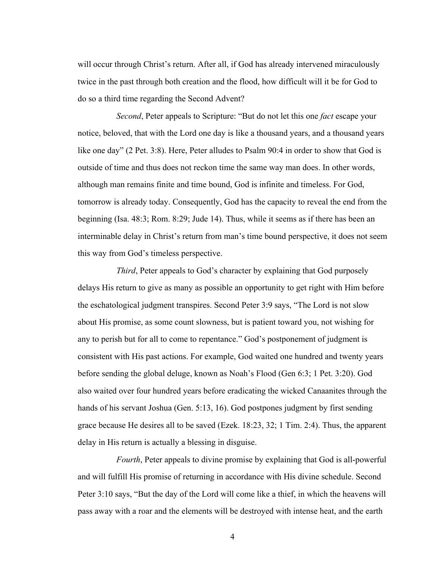will occur through Christ's return. After all, if God has already intervened miraculously twice in the past through both creation and the flood, how difficult will it be for God to do so a third time regarding the Second Advent?

*Second*, Peter appeals to Scripture: "But do not let this one *fact* escape your notice, beloved, that with the Lord one day is like a thousand years, and a thousand years like one day" (2 Pet. 3:8). Here, Peter alludes to Psalm 90:4 in order to show that God is outside of time and thus does not reckon time the same way man does. In other words, although man remains finite and time bound, God is infinite and timeless. For God, tomorrow is already today. Consequently, God has the capacity to reveal the end from the beginning (Isa. 48:3; Rom. 8:29; Jude 14). Thus, while it seems as if there has been an interminable delay in Christ's return from man's time bound perspective, it does not seem this way from God's timeless perspective.

*Third*, Peter appeals to God's character by explaining that God purposely delays His return to give as many as possible an opportunity to get right with Him before the eschatological judgment transpires. Second Peter 3:9 says, "The Lord is not slow about His promise, as some count slowness, but is patient toward you, not wishing for any to perish but for all to come to repentance." God's postponement of judgment is consistent with His past actions. For example, God waited one hundred and twenty years before sending the global deluge, known as Noah's Flood (Gen 6:3; 1 Pet. 3:20). God also waited over four hundred years before eradicating the wicked Canaanites through the hands of his servant Joshua (Gen. 5:13, 16). God postpones judgment by first sending grace because He desires all to be saved (Ezek. 18:23, 32; 1 Tim. 2:4). Thus, the apparent delay in His return is actually a blessing in disguise.

*Fourth*, Peter appeals to divine promise by explaining that God is all-powerful and will fulfill His promise of returning in accordance with His divine schedule. Second Peter 3:10 says, "But the day of the Lord will come like a thief, in which the heavens will pass away with a roar and the elements will be destroyed with intense heat, and the earth

4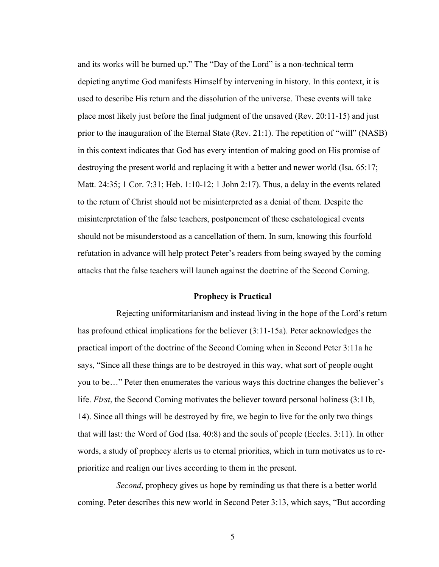and its works will be burned up." The "Day of the Lord" is a non-technical term depicting anytime God manifests Himself by intervening in history. In this context, it is used to describe His return and the dissolution of the universe. These events will take place most likely just before the final judgment of the unsaved (Rev. 20:11-15) and just prior to the inauguration of the Eternal State (Rev. 21:1). The repetition of "will" (NASB) in this context indicates that God has every intention of making good on His promise of destroying the present world and replacing it with a better and newer world (Isa. 65:17; Matt. 24:35; 1 Cor. 7:31; Heb. 1:10-12; 1 John 2:17). Thus, a delay in the events related to the return of Christ should not be misinterpreted as a denial of them. Despite the misinterpretation of the false teachers, postponement of these eschatological events should not be misunderstood as a cancellation of them. In sum, knowing this fourfold refutation in advance will help protect Peter's readers from being swayed by the coming attacks that the false teachers will launch against the doctrine of the Second Coming.

# **Prophecy is Practical**

Rejecting uniformitarianism and instead living in the hope of the Lord's return has profound ethical implications for the believer (3:11-15a). Peter acknowledges the practical import of the doctrine of the Second Coming when in Second Peter 3:11a he says, "Since all these things are to be destroyed in this way, what sort of people ought you to be…" Peter then enumerates the various ways this doctrine changes the believer's life. *First*, the Second Coming motivates the believer toward personal holiness (3:11b, 14). Since all things will be destroyed by fire, we begin to live for the only two things that will last: the Word of God (Isa. 40:8) and the souls of people (Eccles. 3:11). In other words, a study of prophecy alerts us to eternal priorities, which in turn motivates us to reprioritize and realign our lives according to them in the present.

*Second*, prophecy gives us hope by reminding us that there is a better world coming. Peter describes this new world in Second Peter 3:13, which says, "But according

5